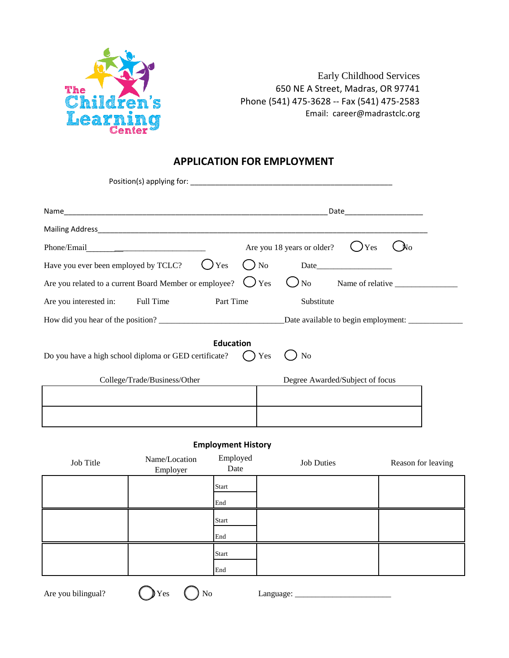

Early Childhood Services 650 NE A Street, Madras, OR 97741 Phone (541) 475-3628 -- Fax (541) 475-2583 Email: career@madrastclc.org

# **APPLICATION FOR EMPLOYMENT**

|                                                        | Date________________________                   |
|--------------------------------------------------------|------------------------------------------------|
|                                                        |                                                |
| Phone/Email                                            | Are you 18 years or older?<br>) Yes            |
| Have you ever been employed by TCLC?<br>Yes            | No<br>Date                                     |
| Are you related to a current Board Member or employee? | $\bigcup$ Yes<br><b>No</b><br>Name of relative |
| Full Time<br>Part Time<br>Are you interested in:       | Substitute                                     |
|                                                        |                                                |
| Do you have a high school diploma or GED certificate?  | <b>Education</b><br>Yes<br>N <sub>0</sub>      |
| College/Trade/Business/Other                           | Degree Awarded/Subject of focus                |
|                                                        |                                                |
|                                                        |                                                |

## **Employment History**

| Job Title | Name/Location<br>Employer | Employed<br>Date | <b>Job Duties</b> | Reason for leaving |
|-----------|---------------------------|------------------|-------------------|--------------------|
|           |                           | Start<br>End     |                   |                    |
|           |                           |                  |                   |                    |
|           |                           | Start            |                   |                    |
|           |                           | End              |                   |                    |
|           |                           | Start            |                   |                    |
|           |                           | End              |                   |                    |

Are you bilingual?  $\bigcup Y$ es  $\bigcup N$ o Language: